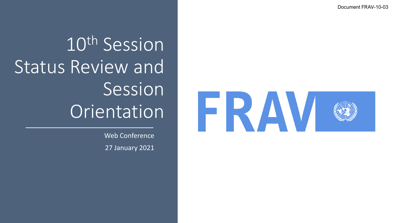Document FRAV-10-03



Web Conference 27 January 2021

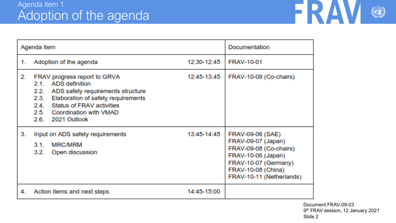

| Agenda item |                                                                                                                                                                                                                                   |             | Documentation                                                                                                                                                           |
|-------------|-----------------------------------------------------------------------------------------------------------------------------------------------------------------------------------------------------------------------------------|-------------|-------------------------------------------------------------------------------------------------------------------------------------------------------------------------|
| 1.          | Adoption of the agenda                                                                                                                                                                                                            | 12:30-12:45 | <b>FRAV-10-01</b>                                                                                                                                                       |
| 2.          | FRAV progress report to GRVA<br>2.1. ADS definition<br>2.2. ADS safety requirements structure<br>Elaboration of safety requirements<br>2.3.<br>2.4. Status of FRAV activities<br>2.5. Coordination with VMAD<br>2.6. 2021 Outlook | 12:45-13:45 | FRAV-10-09 (Co-chairs)                                                                                                                                                  |
| З.          | Input on ADS safety requirements<br><b>MRC/MRM</b><br>$3.1 -$<br>3.2. Open discussion                                                                                                                                             | 13:45-14:45 | <b>FRAV-09-06 (SAE)</b><br>FRAV-09-07 (Japan)<br>FRAV-09-08 (Co-chairs)<br>FRAV-10-06 (Japan)<br>FRAV-10-07 (Germany)<br>FRAV-10-08 (China)<br>FRAV-10-11 (Netherlands) |
| 4.          | Action items and next steps                                                                                                                                                                                                       | 14:45-15:00 |                                                                                                                                                                         |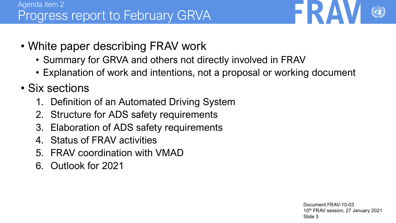

- White paper describing FRAV work
	- Summary for GRVA and others not directly involved in FRAV
	- Explanation of work and intentions, not a proposal or working document
- Six sections
	- 1. Definition of an Automated Driving System
	- 2. Structure for ADS safety requirements
	- 3. Elaboration of ADS safety requirements
	- 4. Status of FRAV activities
	- 5. FRAV coordination with VMAD
	- 6. Outlook for 2021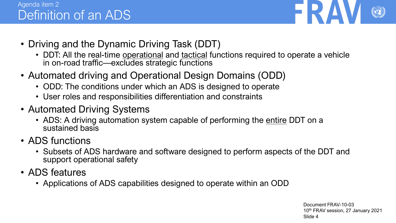## Agenda item 2 Definition of an ADS



- Driving and the Dynamic Driving Task (DDT)
	- DDT: All the real-time operational and tactical functions required to operate a vehicle in on-road traffic—excludes strategic functions
- Automated driving and Operational Design Domains (ODD)
	- ODD: The conditions under which an ADS is designed to operate
	- User roles and responsibilities differentiation and constraints
- Automated Driving Systems
	- ADS: A driving automation system capable of performing the entire DDT on a sustained basis
- ADS functions
	- Subsets of ADS hardware and software designed to perform aspects of the DDT and support operational safety
- ADS features
	- Applications of ADS capabilities designed to operate within an ODD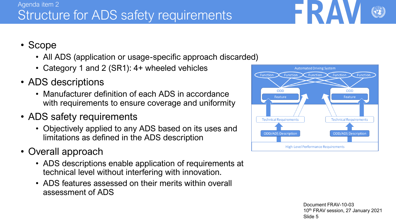#### Document FRAV-10-03 10th FRAV session, 27 January 2021 Slide 5

### Agenda item 2 Structure for ADS safety requirements

# • Scope

- All ADS (application or usage-specific approach discarded)
- Category 1 and 2 (SR1): 4+ wheeled vehicles
- ADS descriptions
	- Manufacturer definition of each ADS in accordance with requirements to ensure coverage and uniformity
- ADS safety requirements
	- Objectively applied to any ADS based on its uses and limitations as defined in the ADS description
- Overall approach
	- ADS descriptions enable application of requirements at technical level without interfering with innovation.
	- ADS features assessed on their merits within overall assessment of ADS



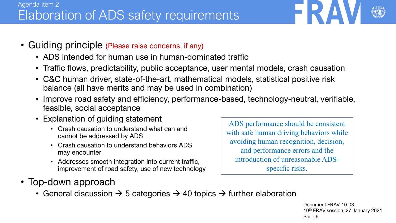- Guiding principle (Please raise concerns, if any)
	- ADS intended for human use in human-dominated traffic
	- Traffic flows, predictability, public acceptance, user mental models, crash causation
	- C&C human driver, state-of-the-art, mathematical models, statistical positive risk balance (all have merits and may be used in combination)
	- Improve road safety and efficiency, performance-based, technology-neutral, verifiable, feasible, social acceptance
	- Explanation of guiding statement
		- Crash causation to understand what can and cannot be addressed by ADS
		- Crash causation to understand behaviors ADS may encounter
		- Addresses smooth integration into current traffic, improvement of road safety, use of new technology

ADS performance should be consistent with safe human driving behaviors while avoiding human recognition, decision, and performance errors and the introduction of unreasonable ADSspecific risks.

- Top-down approach
	- General discussion  $\rightarrow$  5 categories  $\rightarrow$  40 topics  $\rightarrow$  further elaboration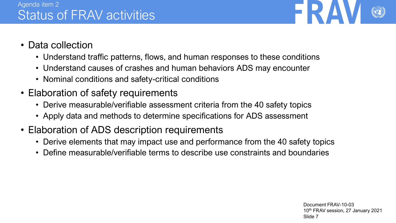

- Data collection
	- Understand traffic patterns, flows, and human responses to these conditions
	- Understand causes of crashes and human behaviors ADS may encounter
	- Nominal conditions and safety-critical conditions
- Elaboration of safety requirements
	- Derive measurable/verifiable assessment criteria from the 40 safety topics
	- Apply data and methods to determine specifications for ADS assessment
- Elaboration of ADS description requirements
	- Derive elements that may impact use and performance from the 40 safety topics
	- Define measurable/verifiable terms to describe use constraints and boundaries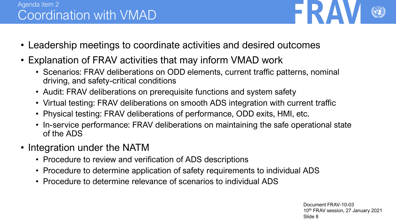## Agenda item 2 Coordination with VMAD

- Leadership meetings to coordinate activities and desired outcomes
- Explanation of FRAV activities that may inform VMAD work
	- Scenarios: FRAV deliberations on ODD elements, current traffic patterns, nominal driving, and safety-critical conditions
	- Audit: FRAV deliberations on prerequisite functions and system safety
	- Virtual testing: FRAV deliberations on smooth ADS integration with current traffic
	- Physical testing: FRAV deliberations of performance, ODD exits, HMI, etc.
	- In-service performance: FRAV deliberations on maintaining the safe operational state of the ADS
- Integration under the NATM
	- Procedure to review and verification of ADS descriptions
	- Procedure to determine application of safety requirements to individual ADS
	- Procedure to determine relevance of scenarios to individual ADS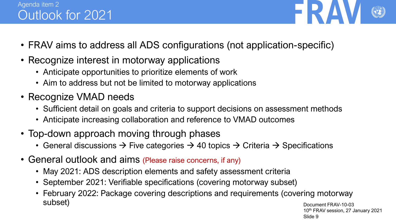## Agenda item 2 Outlook for 2021



- FRAV aims to address all ADS configurations (not application-specific)
- Recognize interest in motorway applications
	- Anticipate opportunities to prioritize elements of work
	- Aim to address but not be limited to motorway applications
- Recognize VMAD needs
	- Sufficient detail on goals and criteria to support decisions on assessment methods
	- Anticipate increasing collaboration and reference to VMAD outcomes
- Top-down approach moving through phases
	- General discussions  $\rightarrow$  Five categories  $\rightarrow$  40 topics  $\rightarrow$  Criteria  $\rightarrow$  Specifications
- General outlook and aims (Please raise concerns, if any)
	- May 2021: ADS description elements and safety assessment criteria
	- September 2021: Verifiable specifications (covering motorway subset)
	- Document FRAV-10-03 • February 2022: Package covering descriptions and requirements (covering motorway subset)

10th FRAV session, 27 January 2021 Slide 9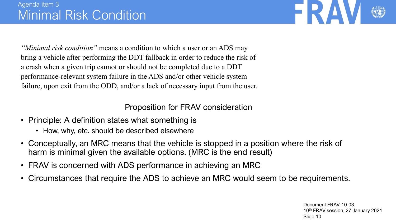

*"Minimal risk condition"* means a condition to which a user or an ADS may bring a vehicle after performing the DDT fallback in order to reduce the risk of a crash when a given trip cannot or should not be completed due to a DDT performance-relevant system failure in the ADS and/or other vehicle system failure, upon exit from the ODD, and/or a lack of necessary input from the user.

Proposition for FRAV consideration

- Principle: A definition states what something is
	- How, why, etc. should be described elsewhere
- Conceptually, an MRC means that the vehicle is stopped in a position where the risk of harm is minimal given the available options. (MRC is the end result)
- FRAV is concerned with ADS performance in achieving an MRC
- Circumstances that require the ADS to achieve an MRC would seem to be requirements.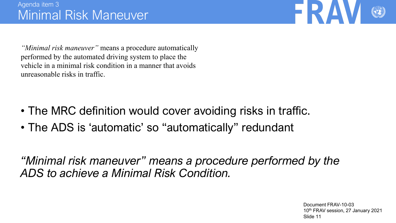

*"Minimal risk maneuver"* means a procedure automatically performed by the automated driving system to place the vehicle in a minimal risk condition in a manner that avoids unreasonable risks in traffic.

- The MRC definition would cover avoiding risks in traffic.
- The ADS is 'automatic' so "automatically" redundant

*"Minimal risk maneuver" means a procedure performed by the ADS to achieve a Minimal Risk Condition.*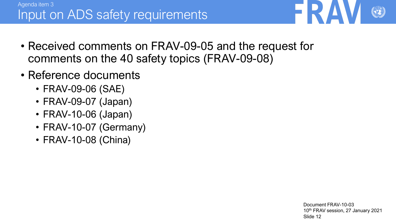- Received comments on FRAV-09-05 and the request for comments on the 40 safety topics (FRAV-09-08)
- Reference documents
	- FRAV-09-06 (SAE)
	- FRAV-09-07 (Japan)
	- FRAV-10-06 (Japan)
	- FRAV-10-07 (Germany)
	- FRAV-10-08 (China)